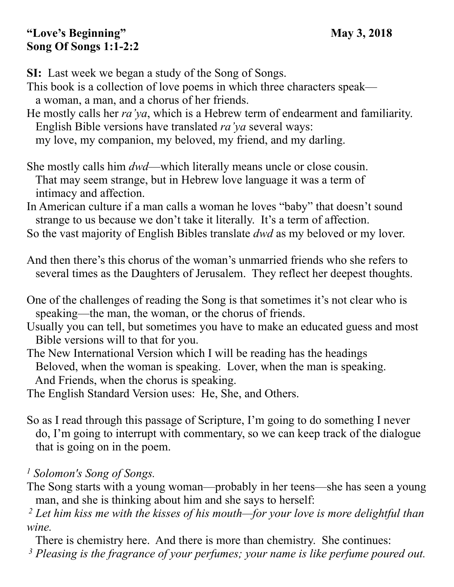#### **"Love's Beginning" May 3, 2018 Song Of Songs 1:1-2:2**

**SI:** Last week we began a study of the Song of Songs.

This book is a collection of love poems in which three characters speak a woman, a man, and a chorus of her friends.

He mostly calls her *ra'ya*, which is a Hebrew term of endearment and familiarity. English Bible versions have translated *ra'ya* several ways:

my love, my companion, my beloved, my friend, and my darling.

She mostly calls him *dwd*—which literally means uncle or close cousin. That may seem strange, but in Hebrew love language it was a term of intimacy and affection.

In American culture if a man calls a woman he loves "baby" that doesn't sound strange to us because we don't take it literally. It's a term of affection.

So the vast majority of English Bibles translate *dwd* as my beloved or my lover.

And then there's this chorus of the woman's unmarried friends who she refers to several times as the Daughters of Jerusalem. They reflect her deepest thoughts.

- Usually you can tell, but sometimes you have to make an educated guess and most Bible versions will to that for you.
- The New International Version which I will be reading has the headings Beloved, when the woman is speaking. Lover, when the man is speaking. And Friends, when the chorus is speaking.

The English Standard Version uses: He, She, and Others.

So as I read through this passage of Scripture, I'm going to do something I never do, I'm going to interrupt with commentary, so we can keep track of the dialogue that is going on in the poem.

*1 Solomon's Song of Songs.* 

The Song starts with a young woman—probably in her teens—she has seen a young man, and she is thinking about him and she says to herself:

 *2 Let him kiss me with the kisses of his mouth—for your love is more delightful than wine.* 

There is chemistry here. And there is more than chemistry. She continues:

 *3 Pleasing is the fragrance of your perfumes; your name is like perfume poured out.* 

One of the challenges of reading the Song is that sometimes it's not clear who is speaking—the man, the woman, or the chorus of friends.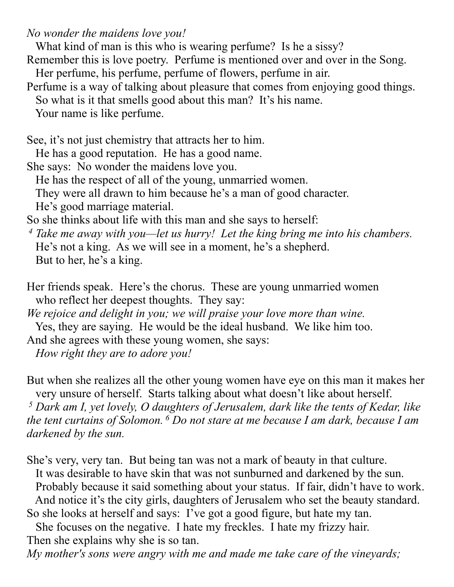*No wonder the maidens love you!* 

What kind of man is this who is wearing perfume? Is he a sissy?

Remember this is love poetry. Perfume is mentioned over and over in the Song. Her perfume, his perfume, perfume of flowers, perfume in air.

Perfume is a way of talking about pleasure that comes from enjoying good things. So what is it that smells good about this man? It's his name.

Your name is like perfume.

See, it's not just chemistry that attracts her to him.

He has a good reputation. He has a good name.

She says: No wonder the maidens love you.

He has the respect of all of the young, unmarried women.

They were all drawn to him because he's a man of good character.

He's good marriage material.

So she thinks about life with this man and she says to herself:

 *4 Take me away with you—let us hurry! Let the king bring me into his chambers.*  He's not a king. As we will see in a moment, he's a shepherd. But to her, he's a king.

Her friends speak. Here's the chorus. These are young unmarried women who reflect her deepest thoughts. They say:

*We rejoice and delight in you; we will praise your love more than wine.* 

Yes, they are saying. He would be the ideal husband. We like him too.

And she agrees with these young women, she says:

 *How right they are to adore you!* 

But when she realizes all the other young women have eye on this man it makes her very unsure of herself. Starts talking about what doesn't like about herself.  *5 Dark am I, yet lovely, O daughters of Jerusalem, dark like the tents of Kedar, like the tent curtains of Solomon. 6 Do not stare at me because I am dark, because I am darkened by the sun.* 

She's very, very tan. But being tan was not a mark of beauty in that culture. It was desirable to have skin that was not sunburned and darkened by the sun. Probably because it said something about your status. If fair, didn't have to work. And notice it's the city girls, daughters of Jerusalem who set the beauty standard. So she looks at herself and says: I've got a good figure, but hate my tan.

 She focuses on the negative. I hate my freckles. I hate my frizzy hair. Then she explains why she is so tan.

*My mother's sons were angry with me and made me take care of the vineyards;*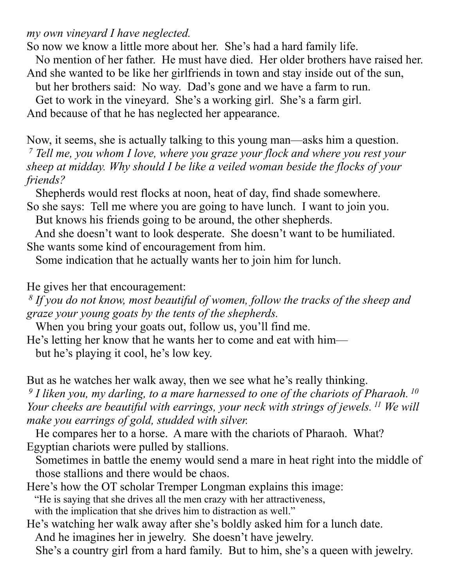*my own vineyard I have neglected.* 

So now we know a little more about her. She's had a hard family life.

No mention of her father. He must have died. Her older brothers have raised her.

And she wanted to be like her girlfriends in town and stay inside out of the sun,

but her brothers said: No way. Dad's gone and we have a farm to run.

Get to work in the vineyard. She's a working girl. She's a farm girl.

And because of that he has neglected her appearance.

Now, it seems, she is actually talking to this young man—asks him a question.  *7 Tell me, you whom I love, where you graze your flock and where you rest your sheep at midday. Why should I be like a veiled woman beside the flocks of your friends?* 

 Shepherds would rest flocks at noon, heat of day, find shade somewhere. So she says: Tell me where you are going to have lunch. I want to join you.

But knows his friends going to be around, the other shepherds.

 And she doesn't want to look desperate. She doesn't want to be humiliated. She wants some kind of encouragement from him.

Some indication that he actually wants her to join him for lunch.

He gives her that encouragement:

 *8 If you do not know, most beautiful of women, follow the tracks of the sheep and graze your young goats by the tents of the shepherds.* 

When you bring your goats out, follow us, you'll find me.

He's letting her know that he wants her to come and eat with him—

but he's playing it cool, he's low key.

But as he watches her walk away, then we see what he's really thinking.

 *9 I liken you, my darling, to a mare harnessed to one of the chariots of Pharaoh. 10 Your cheeks are beautiful with earrings, your neck with strings of jewels. 11 We will make you earrings of gold, studded with silver.* 

 He compares her to a horse. A mare with the chariots of Pharaoh. What? Egyptian chariots were pulled by stallions.

 Sometimes in battle the enemy would send a mare in heat right into the middle of those stallions and there would be chaos.

Here's how the OT scholar Tremper Longman explains this image: "He is saying that she drives all the men crazy with her attractiveness, with the implication that she drives him to distraction as well."

He's watching her walk away after she's boldly asked him for a lunch date. And he imagines her in jewelry. She doesn't have jewelry. She's a country girl from a hard family. But to him, she's a queen with jewelry.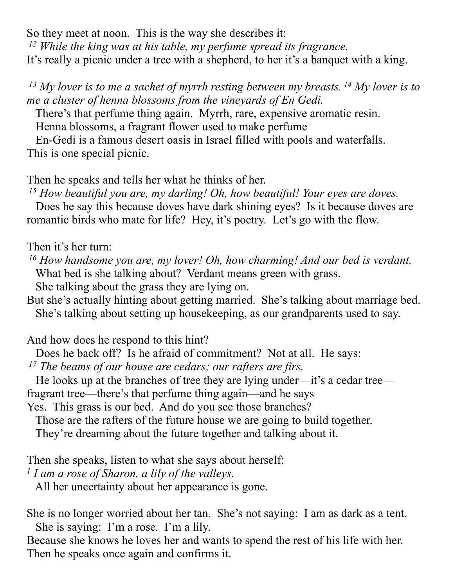So they meet at noon. This is the way she describes it:  *12 While the king was at his table, my perfume spread its fragrance.*  It's really a picnic under a tree with a shepherd, to her it's a banquet with a king.

 *13 My lover is to me a sachet of myrrh resting between my breasts. 14 My lover is to me a cluster of henna blossoms from the vineyards of En Gedi.* 

There's that perfume thing again. Myrrh, rare, expensive aromatic resin.

Henna blossoms, a fragrant flower used to make perfume

 En-Gedi is a famous desert oasis in Israel filled with pools and waterfalls. This is one special picnic.

Then he speaks and tells her what he thinks of her.

 *15 How beautiful you are, my darling! Oh, how beautiful! Your eyes are doves.* 

 Does he say this because doves have dark shining eyes? Is it because doves are romantic birds who mate for life? Hey, it's poetry. Let's go with the flow.

Then it's her turn:

 *16 How handsome you are, my lover! Oh, how charming! And our bed is verdant.*  What bed is she talking about? Verdant means green with grass.

She talking about the grass they are lying on.

But she's actually hinting about getting married. She's talking about marriage bed. She's talking about setting up housekeeping, as our grandparents used to say.

And how does he respond to this hint?

Does he back off? Is he afraid of commitment? Not at all. He says:

 *17 The beams of our house are cedars; our rafters are firs.* 

 He looks up at the branches of tree they are lying under—it's a cedar tree fragrant tree—there's that perfume thing again—and he says

Yes. This grass is our bed. And do you see those branches?

Those are the rafters of the future house we are going to build together.

They're dreaming about the future together and talking about it.

Then she speaks, listen to what she says about herself:

*1 I am a rose of Sharon, a lily of the valleys.* 

All her uncertainty about her appearance is gone.

She is no longer worried about her tan. She's not saying: I am as dark as a tent. She is saying: I'm a rose. I'm a lily.

Because she knows he loves her and wants to spend the rest of his life with her. Then he speaks once again and confirms it.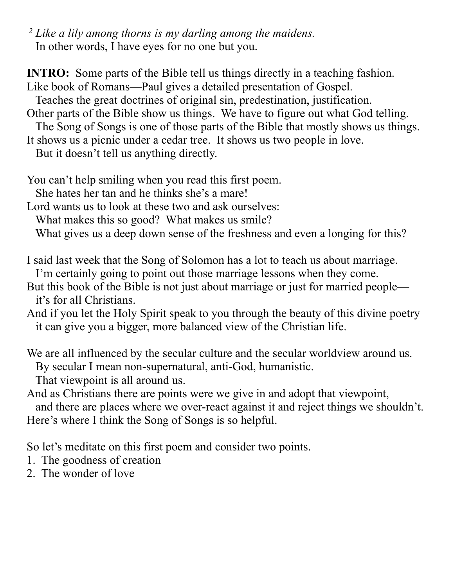*2 Like a lily among thorns is my darling among the maidens.* In other words, I have eyes for no one but you.

**INTRO:** Some parts of the Bible tell us things directly in a teaching fashion. Like book of Romans—Paul gives a detailed presentation of Gospel. Teaches the great doctrines of original sin, predestination, justification. Other parts of the Bible show us things. We have to figure out what God telling. The Song of Songs is one of those parts of the Bible that mostly shows us things. It shows us a picnic under a cedar tree. It shows us two people in love. But it doesn't tell us anything directly.

You can't help smiling when you read this first poem.

She hates her tan and he thinks she's a mare!

Lord wants us to look at these two and ask ourselves:

What makes this so good? What makes us smile?

What gives us a deep down sense of the freshness and even a longing for this?

I said last week that the Song of Solomon has a lot to teach us about marriage.

I'm certainly going to point out those marriage lessons when they come.

But this book of the Bible is not just about marriage or just for married people it's for all Christians.

And if you let the Holy Spirit speak to you through the beauty of this divine poetry it can give you a bigger, more balanced view of the Christian life.

We are all influenced by the secular culture and the secular worldview around us. By secular I mean non-supernatural, anti-God, humanistic.

That viewpoint is all around us.

And as Christians there are points were we give in and adopt that viewpoint, and there are places where we over-react against it and reject things we shouldn't. Here's where I think the Song of Songs is so helpful.

So let's meditate on this first poem and consider two points.

1. The goodness of creation

2. The wonder of love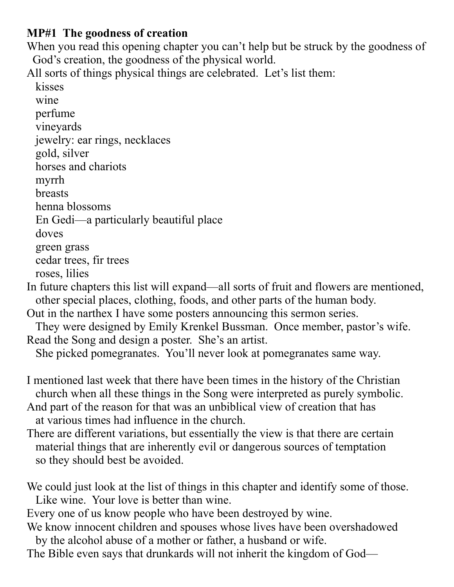### **MP#1 The goodness of creation**

When you read this opening chapter you can't help but be struck by the goodness of God's creation, the goodness of the physical world.

All sorts of things physical things are celebrated. Let's list them:

 kisses wine perfume vineyards jewelry: ear rings, necklaces gold, silver horses and chariots myrrh breasts henna blossoms En Gedi—a particularly beautiful place doves green grass cedar trees, fir trees roses, lilies In future chapters this list will expand—all sorts of fruit and flowers are mentioned, other special places, clothing, foods, and other parts of the human body.

- Out in the narthex I have some posters announcing this sermon series.
- They were designed by Emily Krenkel Bussman. Once member, pastor's wife. Read the Song and design a poster. She's an artist.

She picked pomegranates. You'll never look at pomegranates same way.

- I mentioned last week that there have been times in the history of the Christian church when all these things in the Song were interpreted as purely symbolic. And part of the reason for that was an unbiblical view of creation that has at various times had influence in the church.
- There are different variations, but essentially the view is that there are certain material things that are inherently evil or dangerous sources of temptation so they should best be avoided.

We could just look at the list of things in this chapter and identify some of those. Like wine. Your love is better than wine.

Every one of us know people who have been destroyed by wine.

We know innocent children and spouses whose lives have been overshadowed by the alcohol abuse of a mother or father, a husband or wife.

The Bible even says that drunkards will not inherit the kingdom of God—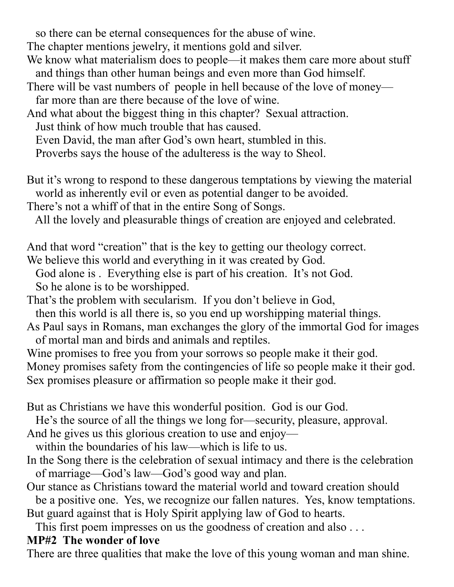so there can be eternal consequences for the abuse of wine.

The chapter mentions jewelry, it mentions gold and silver.

- We know what materialism does to people—it makes them care more about stuff and things than other human beings and even more than God himself.
- There will be vast numbers of people in hell because of the love of money far more than are there because of the love of wine.
- And what about the biggest thing in this chapter? Sexual attraction.

Just think of how much trouble that has caused.

Even David, the man after God's own heart, stumbled in this.

Proverbs says the house of the adulteress is the way to Sheol.

But it's wrong to respond to these dangerous temptations by viewing the material world as inherently evil or even as potential danger to be avoided.

There's not a whiff of that in the entire Song of Songs.

All the lovely and pleasurable things of creation are enjoyed and celebrated.

And that word "creation" that is the key to getting our theology correct.

We believe this world and everything in it was created by God.

 God alone is . Everything else is part of his creation. It's not God. So he alone is to be worshipped.

That's the problem with secularism. If you don't believe in God,

then this world is all there is, so you end up worshipping material things.

As Paul says in Romans, man exchanges the glory of the immortal God for images of mortal man and birds and animals and reptiles.

Wine promises to free you from your sorrows so people make it their god. Money promises safety from the contingencies of life so people make it their god. Sex promises pleasure or affirmation so people make it their god.

But as Christians we have this wonderful position. God is our God.

He's the source of all the things we long for—security, pleasure, approval.

And he gives us this glorious creation to use and enjoy—

within the boundaries of his law—which is life to us.

In the Song there is the celebration of sexual intimacy and there is the celebration of marriage—God's law—God's good way and plan.

Our stance as Christians toward the material world and toward creation should be a positive one. Yes, we recognize our fallen natures. Yes, know temptations. But guard against that is Holy Spirit applying law of God to hearts.

This first poem impresses on us the goodness of creation and also . . .

## **MP#2 The wonder of love**

There are three qualities that make the love of this young woman and man shine.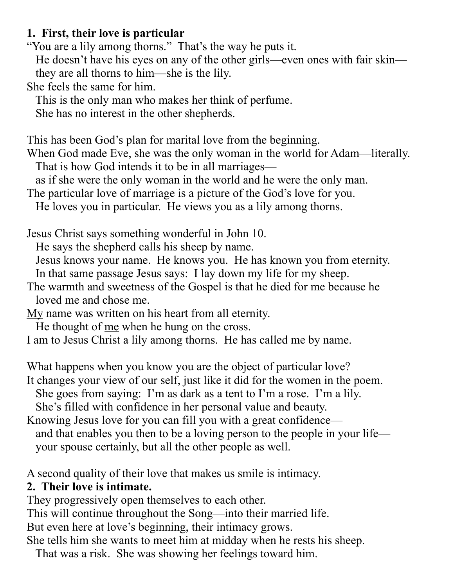#### **1. First, their love is particular**

"You are a lily among thorns." That's the way he puts it.

 He doesn't have his eyes on any of the other girls—even ones with fair skin they are all thorns to him—she is the lily.

She feels the same for him.

This is the only man who makes her think of perfume.

She has no interest in the other shepherds.

This has been God's plan for marital love from the beginning.

When God made Eve, she was the only woman in the world for Adam—literally. That is how God intends it to be in all marriages—

as if she were the only woman in the world and he were the only man.

The particular love of marriage is a picture of the God's love for you.

He loves you in particular. He views you as a lily among thorns.

Jesus Christ says something wonderful in John 10.

He says the shepherd calls his sheep by name.

Jesus knows your name. He knows you. He has known you from eternity.

In that same passage Jesus says: I lay down my life for my sheep.

The warmth and sweetness of the Gospel is that he died for me because he loved me and chose me.

My name was written on his heart from all eternity.

He thought of <u>me</u> when he hung on the cross.

I am to Jesus Christ a lily among thorns. He has called me by name.

What happens when you know you are the object of particular love?

It changes your view of our self, just like it did for the women in the poem.

She goes from saying: I'm as dark as a tent to I'm a rose. I'm a lily.

She's filled with confidence in her personal value and beauty.

Knowing Jesus love for you can fill you with a great confidence and that enables you then to be a loving person to the people in your life your spouse certainly, but all the other people as well.

A second quality of their love that makes us smile is intimacy.

## **2. Their love is intimate.**

They progressively open themselves to each other.

This will continue throughout the Song—into their married life.

But even here at love's beginning, their intimacy grows.

She tells him she wants to meet him at midday when he rests his sheep.

That was a risk. She was showing her feelings toward him.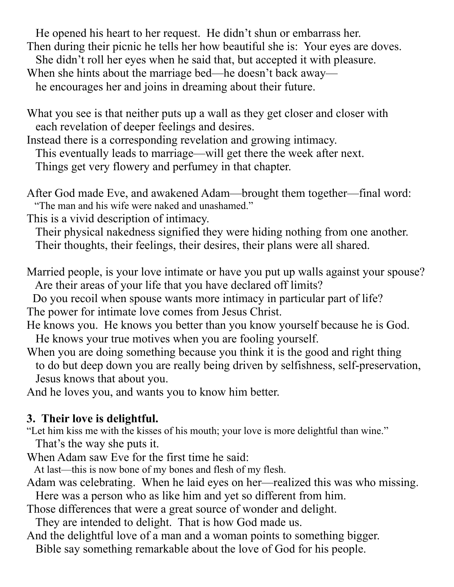He opened his heart to her request. He didn't shun or embarrass her. Then during their picnic he tells her how beautiful she is: Your eyes are doves. She didn't roll her eyes when he said that, but accepted it with pleasure. When she hints about the marriage bed—he doesn't back away he encourages her and joins in dreaming about their future.

What you see is that neither puts up a wall as they get closer and closer with each revelation of deeper feelings and desires.

Instead there is a corresponding revelation and growing intimacy.

This eventually leads to marriage—will get there the week after next.

Things get very flowery and perfumey in that chapter.

After God made Eve, and awakened Adam—brought them together—final word: "The man and his wife were naked and unashamed."

This is a vivid description of intimacy.

 Their physical nakedness signified they were hiding nothing from one another. Their thoughts, their feelings, their desires, their plans were all shared.

Married people, is your love intimate or have you put up walls against your spouse? Are their areas of your life that you have declared off limits?

 Do you recoil when spouse wants more intimacy in particular part of life? The power for intimate love comes from Jesus Christ.

He knows you. He knows you better than you know yourself because he is God. He knows your true motives when you are fooling yourself.

When you are doing something because you think it is the good and right thing to do but deep down you are really being driven by selfishness, self-preservation, Jesus knows that about you.

And he loves you, and wants you to know him better.

# **3. Their love is delightful.**

"Let him kiss me with the kisses of his mouth; your love is more delightful than wine."

That's the way she puts it.

When Adam saw Eve for the first time he said:

At last—this is now bone of my bones and flesh of my flesh.

Adam was celebrating. When he laid eyes on her—realized this was who missing.

 Here was a person who as like him and yet so different from him. Those differences that were a great source of wonder and delight.

They are intended to delight. That is how God made us.

And the delightful love of a man and a woman points to something bigger. Bible say something remarkable about the love of God for his people.